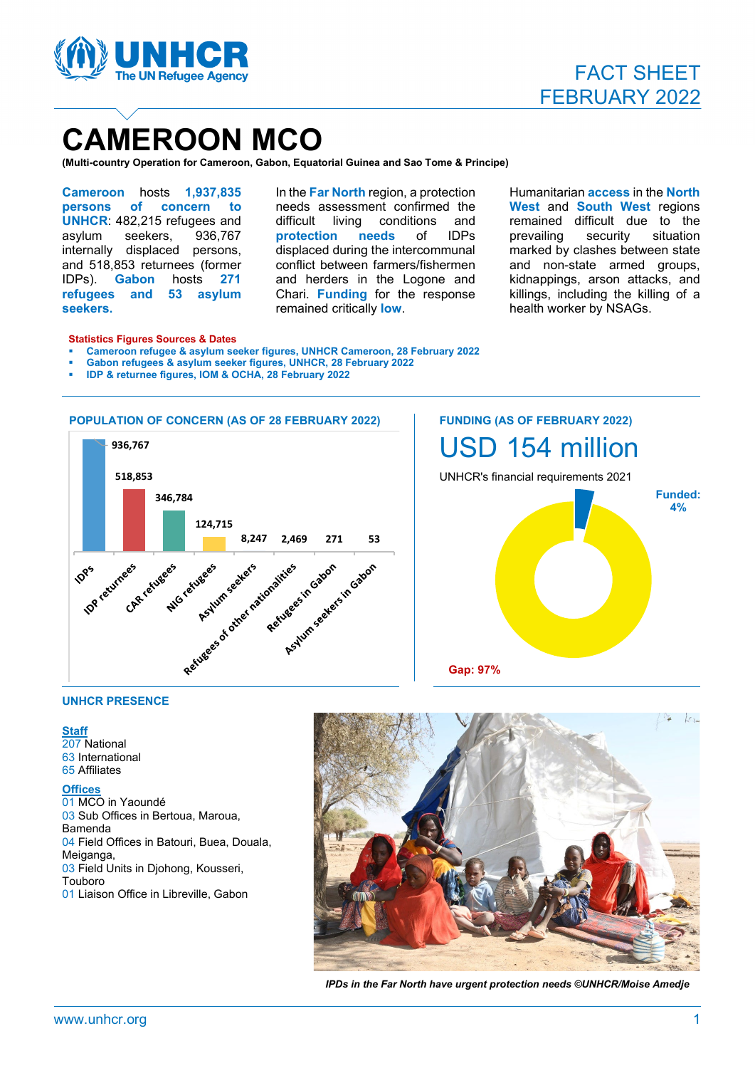

## **CAMEROON MCO**

**(Multi-country Operation for Cameroon, Gabon, Equatorial Guinea and Sao Tome & Principe)**

**Cameroon** hosts **1,937,835 persons of concern to UNHCR**: 482,215 refugees and asylum seekers, 936,767 internally displaced persons, and 518,853 returnees (former IDPs). **Gabon** hosts **271 refugees and 53 asylum seekers.**

In the **Far North** region, a protection needs assessment confirmed the<br>difficult living conditions and difficult living conditions **protection needs** of IDPs displaced during the intercommunal conflict between farmers/fishermen and herders in the Logone and Chari. **Funding** for the response remained critically **low**.

Humanitarian **access** in the **North West** and **South West** regions remained difficult due to the prevailing security situation marked by clashes between state and non-state armed groups, kidnappings, arson attacks, and killings, including the killing of a health worker by NSAGs.

#### **Statistics Figures Sources & Dates**

- **Cameroon refugee & asylum seeker figures, UNHCR Cameroon, 28 February 2022**
- **Gabon refugees & asylum seeker figures, UNHCR, 28 February 2022**
- **IDP & returnee figures, IOM & OCHA, 28 February 2022**



# USD 154 million UNHCR's financial requirements 2021 **Funded: 4% Gap: 97%**

## **UNHCR PRESENCE**

#### **Staff**

207 National 63 International 65 Affiliates

#### **Offices**

01 MCO in Yaoundé 03 Sub Offices in Bertoua, Maroua, Bamenda 04 Field Offices in Batouri, Buea, Douala, Meiganga, 03 Field Units in Djohong, Kousseri, Touboro 01 Liaison Office in Libreville, Gabon



*IPDs in the Far North have urgent protection needs ©UNHCR/Moise Amedje*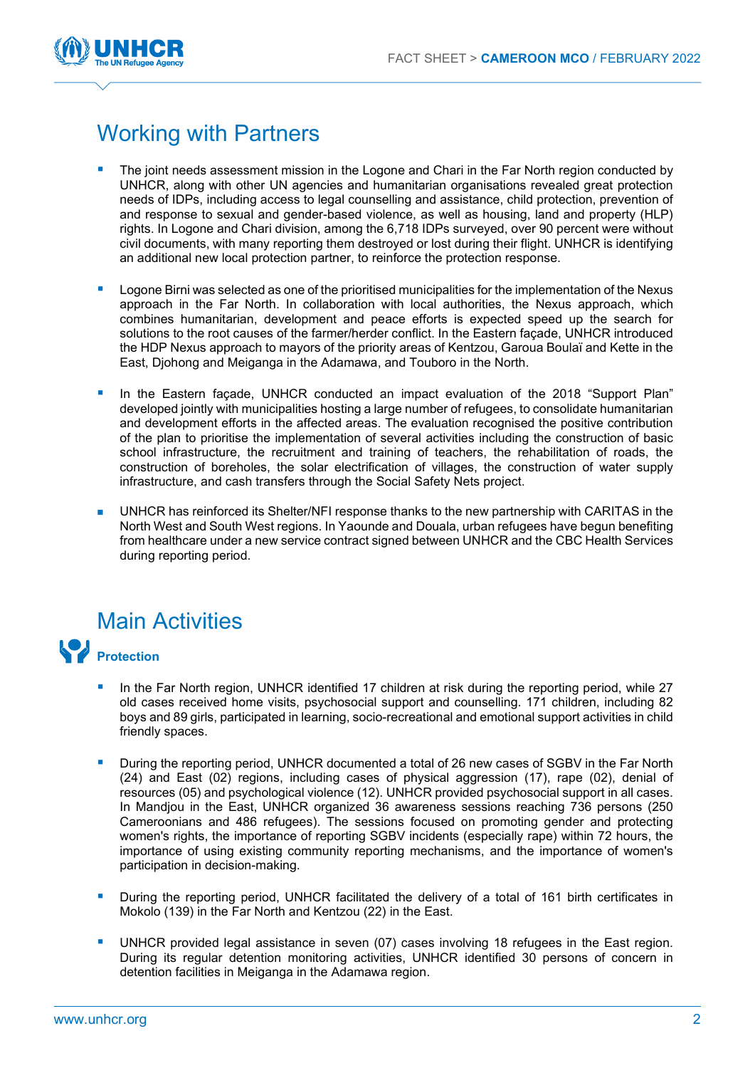

## Working with Partners

- The joint needs assessment mission in the Logone and Chari in the Far North region conducted by UNHCR, along with other UN agencies and humanitarian organisations revealed great protection needs of IDPs, including access to legal counselling and assistance, child protection, prevention of and response to sexual and gender-based violence, as well as housing, land and property (HLP) rights. In Logone and Chari division, among the 6,718 IDPs surveyed, over 90 percent were without civil documents, with many reporting them destroyed or lost during their flight. UNHCR is identifying an additional new local protection partner, to reinforce the protection response.
- Logone Birni was selected as one of the prioritised municipalities for the implementation of the Nexus approach in the Far North. In collaboration with local authorities, the Nexus approach, which combines humanitarian, development and peace efforts is expected speed up the search for solutions to the root causes of the farmer/herder conflict. In the Eastern façade, UNHCR introduced the HDP Nexus approach to mayors of the priority areas of Kentzou, Garoua Boulaï and Kette in the East, Djohong and Meiganga in the Adamawa, and Touboro in the North.
- In the Eastern façade, UNHCR conducted an impact evaluation of the 2018 "Support Plan" developed jointly with municipalities hosting a large number of refugees, to consolidate humanitarian and development efforts in the affected areas. The evaluation recognised the positive contribution of the plan to prioritise the implementation of several activities including the construction of basic school infrastructure, the recruitment and training of teachers, the rehabilitation of roads, the construction of boreholes, the solar electrification of villages, the construction of water supply infrastructure, and cash transfers through the Social Safety Nets project.
- UNHCR has reinforced its Shelter/NFI response thanks to the new partnership with CARITAS in the North West and South West regions. In Yaounde and Douala, urban refugees have begun benefiting from healthcare under a new service contract signed between UNHCR and the CBC Health Services during reporting period.

## Main Activities



- In the Far North region, UNHCR identified 17 children at risk during the reporting period, while 27 old cases received home visits, psychosocial support and counselling. 171 children, including 82 boys and 89 girls, participated in learning, socio-recreational and emotional support activities in child friendly spaces.
- During the reporting period, UNHCR documented a total of 26 new cases of SGBV in the Far North (24) and East (02) regions, including cases of physical aggression (17), rape (02), denial of resources (05) and psychological violence (12). UNHCR provided psychosocial support in all cases. In Mandjou in the East, UNHCR organized 36 awareness sessions reaching 736 persons (250 Cameroonians and 486 refugees). The sessions focused on promoting gender and protecting women's rights, the importance of reporting SGBV incidents (especially rape) within 72 hours, the importance of using existing community reporting mechanisms, and the importance of women's participation in decision-making.
- **During the reporting period, UNHCR facilitated the delivery of a total of 161 birth certificates in** Mokolo (139) in the Far North and Kentzou (22) in the East.
- **UNHCR** provided legal assistance in seven (07) cases involving 18 refugees in the East region. During its regular detention monitoring activities, UNHCR identified 30 persons of concern in detention facilities in Meiganga in the Adamawa region.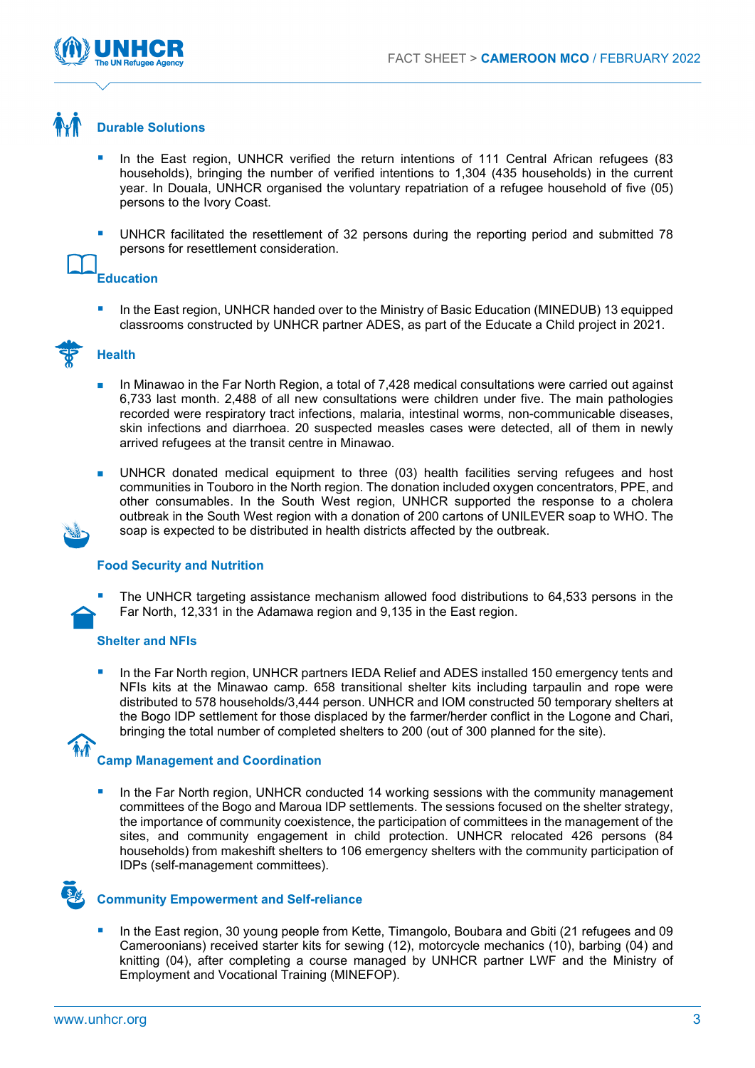

## **Durable Solutions**

- In the East region, UNHCR verified the return intentions of 111 Central African refugees (83 households), bringing the number of verified intentions to 1,304 (435 households) in the current year. In Douala, UNHCR organised the voluntary repatriation of a refugee household of five (05) persons to the Ivory Coast.
- UNHCR facilitated the resettlement of 32 persons during the reporting period and submitted 78 persons for resettlement consideration.

## **Education**

 In the East region, UNHCR handed over to the Ministry of Basic Education (MINEDUB) 13 equipped classrooms constructed by UNHCR partner ADES, as part of the Educate a Child project in 2021.



## **Health**

- In Minawao in the Far North Region, a total of 7,428 medical consultations were carried out against 6,733 last month. 2,488 of all new consultations were children under five. The main pathologies recorded were respiratory tract infections, malaria, intestinal worms, non-communicable diseases, skin infections and diarrhoea. 20 suspected measles cases were detected, all of them in newly arrived refugees at the transit centre in Minawao.
- UNHCR donated medical equipment to three (03) health facilities serving refugees and host communities in Touboro in the North region. The donation included oxygen concentrators, PPE, and other consumables. In the South West region, UNHCR supported the response to a cholera outbreak in the South West region with a donation of 200 cartons of UNILEVER soap to WHO. The soap is expected to be distributed in health districts affected by the outbreak.

## **Food Security and Nutrition**

 The UNHCR targeting assistance mechanism allowed food distributions to 64,533 persons in the Far North, 12,331 in the Adamawa region and 9,135 in the East region.

## **Shelter and NFIs**

 In the Far North region, UNHCR partners IEDA Relief and ADES installed 150 emergency tents and NFIs kits at the Minawao camp. 658 transitional shelter kits including tarpaulin and rope were distributed to 578 households/3,444 person. UNHCR and IOM constructed 50 temporary shelters at the Bogo IDP settlement for those displaced by the farmer/herder conflict in the Logone and Chari, bringing the total number of completed shelters to 200 (out of 300 planned for the site).

## **Camp Management and Coordination**

 In the Far North region, UNHCR conducted 14 working sessions with the community management committees of the Bogo and Maroua IDP settlements. The sessions focused on the shelter strategy, the importance of community coexistence, the participation of committees in the management of the sites, and community engagement in child protection. UNHCR relocated 426 persons (84 households) from makeshift shelters to 106 emergency shelters with the community participation of IDPs (self-management committees).



## **Community Empowerment and Self-reliance**

 In the East region, 30 young people from Kette, Timangolo, Boubara and Gbiti (21 refugees and 09 Cameroonians) received starter kits for sewing (12), motorcycle mechanics (10), barbing (04) and knitting (04), after completing a course managed by UNHCR partner LWF and the Ministry of Employment and Vocational Training (MINEFOP).